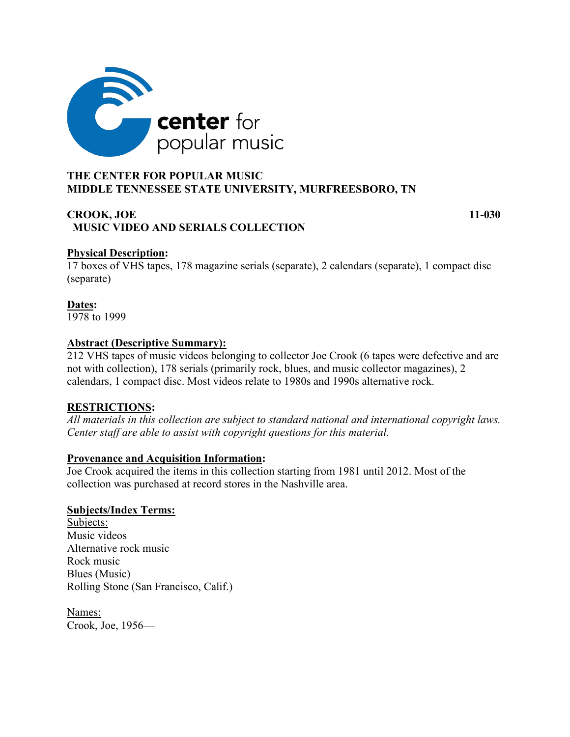

# **MIDDLE TENNESSEE STATE UNIVERSITY, MURFREESBORO, TN**

# **CROOK, JOE 11-030 MUSIC VIDEO AND SERIALS COLLECTION**

# **Physical Description:**

17 boxes of VHS tapes, 178 magazine serials (separate), 2 calendars (separate), 1 compact disc (separate)

# **Dates:**

1978 to 1999

## **Abstract (Descriptive Summary):**

212 VHS tapes of music videos belonging to collector Joe Crook (6 tapes were defective and are not with collection), 178 serials (primarily rock, blues, and music collector magazines), 2 calendars, 1 compact disc. Most videos relate to 1980s and 1990s alternative rock.

# **RESTRICTIONS:**

*All materials in this collection are subject to standard national and international copyright laws. Center staff are able to assist with copyright questions for this material.*

## **Provenance and Acquisition Information:**

Joe Crook acquired the items in this collection starting from 1981 until 2012. Most of the collection was purchased at record stores in the Nashville area.

# **Subjects/Index Terms:**

Subjects: Music videos Alternative rock music Rock music Blues (Music) Rolling Stone (San Francisco, Calif.)

Names: Crook, Joe, 1956—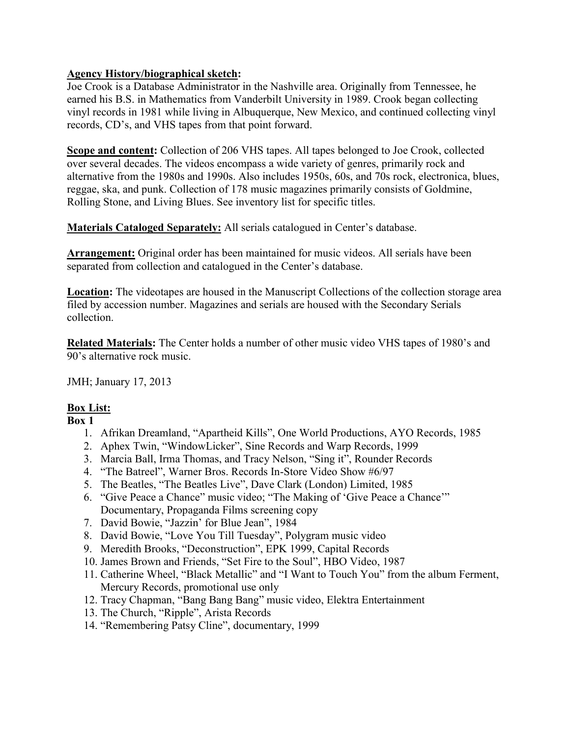# **Agency History/biographical sketch:**

Joe Crook is a Database Administrator in the Nashville area. Originally from Tennessee, he earned his B.S. in Mathematics from Vanderbilt University in 1989. Crook began collecting vinyl records in 1981 while living in Albuquerque, New Mexico, and continued collecting vinyl records, CD's, and VHS tapes from that point forward.

**Scope and content:** Collection of 206 VHS tapes. All tapes belonged to Joe Crook, collected over several decades. The videos encompass a wide variety of genres, primarily rock and alternative from the 1980s and 1990s. Also includes 1950s, 60s, and 70s rock, electronica, blues, reggae, ska, and punk. Collection of 178 music magazines primarily consists of Goldmine, Rolling Stone, and Living Blues. See inventory list for specific titles.

**Materials Cataloged Separately:** All serials catalogued in Center's database.

**Arrangement:** Original order has been maintained for music videos. All serials have been separated from collection and catalogued in the Center's database.

**Location:** The videotapes are housed in the Manuscript Collections of the collection storage area filed by accession number. Magazines and serials are housed with the Secondary Serials collection.

**Related Materials:** The Center holds a number of other music video VHS tapes of 1980's and 90's alternative rock music.

JMH; January 17, 2013

# **Box List:**

- 1. Afrikan Dreamland, "Apartheid Kills", One World Productions, AYO Records, 1985
- 2. Aphex Twin, "WindowLicker", Sine Records and Warp Records, 1999
- 3. Marcia Ball, Irma Thomas, and Tracy Nelson, "Sing it", Rounder Records
- 4. "The Batreel", Warner Bros. Records In-Store Video Show #6/97
- 5. The Beatles, "The Beatles Live", Dave Clark (London) Limited, 1985
- 6. "Give Peace a Chance" music video; "The Making of 'Give Peace a Chance'" Documentary, Propaganda Films screening copy
- 7. David Bowie, "Jazzin' for Blue Jean", 1984
- 8. David Bowie, "Love You Till Tuesday", Polygram music video
- 9. Meredith Brooks, "Deconstruction", EPK 1999, Capital Records
- 10. James Brown and Friends, "Set Fire to the Soul", HBO Video, 1987
- 11. Catherine Wheel, "Black Metallic" and "I Want to Touch You" from the album Ferment, Mercury Records, promotional use only
- 12. Tracy Chapman, "Bang Bang Bang" music video, Elektra Entertainment
- 13. The Church, "Ripple", Arista Records
- 14. "Remembering Patsy Cline", documentary, 1999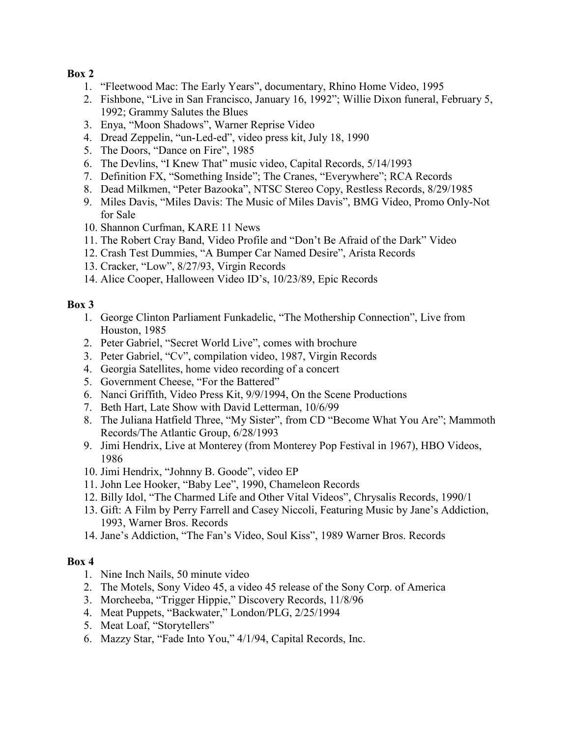- 1. "Fleetwood Mac: The Early Years", documentary, Rhino Home Video, 1995
- 2. Fishbone, "Live in San Francisco, January 16, 1992"; Willie Dixon funeral, February 5, 1992; Grammy Salutes the Blues
- 3. Enya, "Moon Shadows", Warner Reprise Video
- 4. Dread Zeppelin, "un-Led-ed", video press kit, July 18, 1990
- 5. The Doors, "Dance on Fire", 1985
- 6. The Devlins, "I Knew That" music video, Capital Records, 5/14/1993
- 7. Definition FX, "Something Inside"; The Cranes, "Everywhere"; RCA Records
- 8. Dead Milkmen, "Peter Bazooka", NTSC Stereo Copy, Restless Records, 8/29/1985
- 9. Miles Davis, "Miles Davis: The Music of Miles Davis", BMG Video, Promo Only-Not for Sale
- 10. Shannon Curfman, KARE 11 News
- 11. The Robert Cray Band, Video Profile and "Don't Be Afraid of the Dark" Video
- 12. Crash Test Dummies, "A Bumper Car Named Desire", Arista Records
- 13. Cracker, "Low", 8/27/93, Virgin Records
- 14. Alice Cooper, Halloween Video ID's, 10/23/89, Epic Records

## **Box 3**

- 1. George Clinton Parliament Funkadelic, "The Mothership Connection", Live from Houston, 1985
- 2. Peter Gabriel, "Secret World Live", comes with brochure
- 3. Peter Gabriel, "Cv", compilation video, 1987, Virgin Records
- 4. Georgia Satellites, home video recording of a concert
- 5. Government Cheese, "For the Battered"
- 6. Nanci Griffith, Video Press Kit, 9/9/1994, On the Scene Productions
- 7. Beth Hart, Late Show with David Letterman, 10/6/99
- 8. The Juliana Hatfield Three, "My Sister", from CD "Become What You Are"; Mammoth Records/The Atlantic Group, 6/28/1993
- 9. Jimi Hendrix, Live at Monterey (from Monterey Pop Festival in 1967), HBO Videos, 1986
- 10. Jimi Hendrix, "Johnny B. Goode", video EP
- 11. John Lee Hooker, "Baby Lee", 1990, Chameleon Records
- 12. Billy Idol, "The Charmed Life and Other Vital Videos", Chrysalis Records, 1990/1
- 13. Gift: A Film by Perry Farrell and Casey Niccoli, Featuring Music by Jane's Addiction, 1993, Warner Bros. Records
- 14. Jane's Addiction, "The Fan's Video, Soul Kiss", 1989 Warner Bros. Records

- 1. Nine Inch Nails, 50 minute video
- 2. The Motels, Sony Video 45, a video 45 release of the Sony Corp. of America
- 3. Morcheeba, "Trigger Hippie," Discovery Records, 11/8/96
- 4. Meat Puppets, "Backwater," London/PLG, 2/25/1994
- 5. Meat Loaf, "Storytellers"
- 6. Mazzy Star, "Fade Into You," 4/1/94, Capital Records, Inc.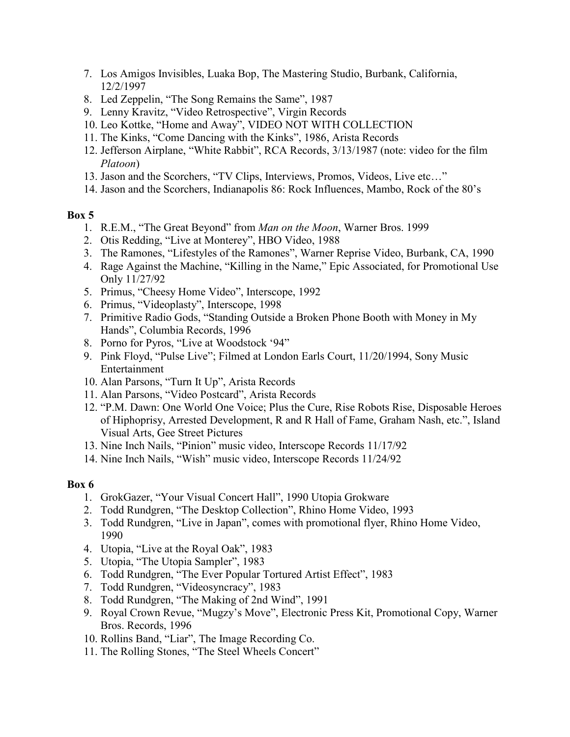- 7. Los Amigos Invisibles, Luaka Bop, The Mastering Studio, Burbank, California, 12/2/1997
- 8. Led Zeppelin, "The Song Remains the Same", 1987
- 9. Lenny Kravitz, "Video Retrospective", Virgin Records
- 10. Leo Kottke, "Home and Away", VIDEO NOT WITH COLLECTION
- 11. The Kinks, "Come Dancing with the Kinks", 1986, Arista Records
- 12. Jefferson Airplane, "White Rabbit", RCA Records, 3/13/1987 (note: video for the film *Platoon*)
- 13. Jason and the Scorchers, "TV Clips, Interviews, Promos, Videos, Live etc…"
- 14. Jason and the Scorchers, Indianapolis 86: Rock Influences, Mambo, Rock of the 80's

- 1. R.E.M., "The Great Beyond" from *Man on the Moon*, Warner Bros. 1999
- 2. Otis Redding, "Live at Monterey", HBO Video, 1988
- 3. The Ramones, "Lifestyles of the Ramones", Warner Reprise Video, Burbank, CA, 1990
- 4. Rage Against the Machine, "Killing in the Name," Epic Associated, for Promotional Use Only 11/27/92
- 5. Primus, "Cheesy Home Video", Interscope, 1992
- 6. Primus, "Videoplasty", Interscope, 1998
- 7. Primitive Radio Gods, "Standing Outside a Broken Phone Booth with Money in My Hands", Columbia Records, 1996
- 8. Porno for Pyros, "Live at Woodstock '94"
- 9. Pink Floyd, "Pulse Live"; Filmed at London Earls Court, 11/20/1994, Sony Music Entertainment
- 10. Alan Parsons, "Turn It Up", Arista Records
- 11. Alan Parsons, "Video Postcard", Arista Records
- 12. "P.M. Dawn: One World One Voice; Plus the Cure, Rise Robots Rise, Disposable Heroes of Hiphoprisy, Arrested Development, R and R Hall of Fame, Graham Nash, etc.", Island Visual Arts, Gee Street Pictures
- 13. Nine Inch Nails, "Pinion" music video, Interscope Records 11/17/92
- 14. Nine Inch Nails, "Wish" music video, Interscope Records 11/24/92

- 1. GrokGazer, "Your Visual Concert Hall", 1990 Utopia Grokware
- 2. Todd Rundgren, "The Desktop Collection", Rhino Home Video, 1993
- 3. Todd Rundgren, "Live in Japan", comes with promotional flyer, Rhino Home Video, 1990
- 4. Utopia, "Live at the Royal Oak", 1983
- 5. Utopia, "The Utopia Sampler", 1983
- 6. Todd Rundgren, "The Ever Popular Tortured Artist Effect", 1983
- 7. Todd Rundgren, "Videosyncracy", 1983
- 8. Todd Rundgren, "The Making of 2nd Wind", 1991
- 9. Royal Crown Revue, "Mugzy's Move", Electronic Press Kit, Promotional Copy, Warner Bros. Records, 1996
- 10. Rollins Band, "Liar", The Image Recording Co.
- 11. The Rolling Stones, "The Steel Wheels Concert"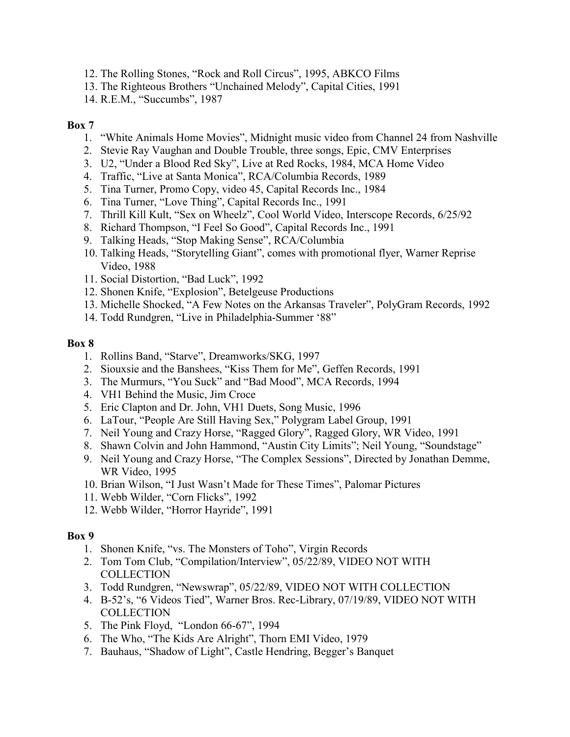- 12. The Rolling Stones, "Rock and Roll Circus", 1995, ABKCO Films
- 13. The Righteous Brothers "Unchained Melody", Capital Cities, 1991
- 14. R.E.M., "Succumbs", 1987

- 1. "White Animals Home Movies", Midnight music video from Channel 24 from Nashville
- 2. Stevie Ray Vaughan and Double Trouble, three songs, Epic, CMV Enterprises
- 3. U2, "Under a Blood Red Sky", Live at Red Rocks, 1984, MCA Home Video
- 4. Traffic, "Live at Santa Monica", RCA/Columbia Records, 1989
- 5. Tina Turner, Promo Copy, video 45, Capital Records Inc., 1984
- 6. Tina Turner, "Love Thing", Capital Records Inc., 1991
- 7. Thrill Kill Kult, "Sex on Wheelz", Cool World Video, Interscope Records, 6/25/92
- 8. Richard Thompson, "I Feel So Good", Capital Records Inc., 1991
- 9. Talking Heads, "Stop Making Sense", RCA/Columbia
- 10. Talking Heads, "Storytelling Giant", comes with promotional flyer, Warner Reprise Video, 1988
- 11. Social Distortion, "Bad Luck", 1992
- 12. Shonen Knife, "Explosion", Betelgeuse Productions
- 13. Michelle Shocked, "A Few Notes on the Arkansas Traveler", PolyGram Records, 1992
- 14. Todd Rundgren, "Live in Philadelphia-Summer '88"

## **Box 8**

- 1. Rollins Band, "Starve", Dreamworks/SKG, 1997
- 2. Siouxsie and the Banshees, "Kiss Them for Me", Geffen Records, 1991
- 3. The Murmurs, "You Suck" and "Bad Mood", MCA Records, 1994
- 4. VH1 Behind the Music, Jim Croce
- 5. Eric Clapton and Dr. John, VH1 Duets, Song Music, 1996
- 6. LaTour, "People Are Still Having Sex," Polygram Label Group, 1991
- 7. Neil Young and Crazy Horse, "Ragged Glory", Ragged Glory, WR Video, 1991
- 8. Shawn Colvin and John Hammond, "Austin City Limits"; Neil Young, "Soundstage"
- 9. Neil Young and Crazy Horse, "The Complex Sessions", Directed by Jonathan Demme, WR Video, 1995
- 10. Brian Wilson, "I Just Wasn't Made for These Times", Palomar Pictures
- 11. Webb Wilder, "Corn Flicks", 1992
- 12. Webb Wilder, "Horror Hayride", 1991

- 1. Shonen Knife, "vs. The Monsters of Toho", Virgin Records
- 2. Tom Tom Club, "Compilation/Interview", 05/22/89, VIDEO NOT WITH **COLLECTION**
- 3. Todd Rundgren, "Newswrap", 05/22/89, VIDEO NOT WITH COLLECTION
- 4. B-52's, "6 Videos Tied", Warner Bros. Rec-Library, 07/19/89, VIDEO NOT WITH **COLLECTION**
- 5. The Pink Floyd, "London 66-67", 1994
- 6. The Who, "The Kids Are Alright", Thorn EMI Video, 1979
- 7. Bauhaus, "Shadow of Light", Castle Hendring, Begger's Banquet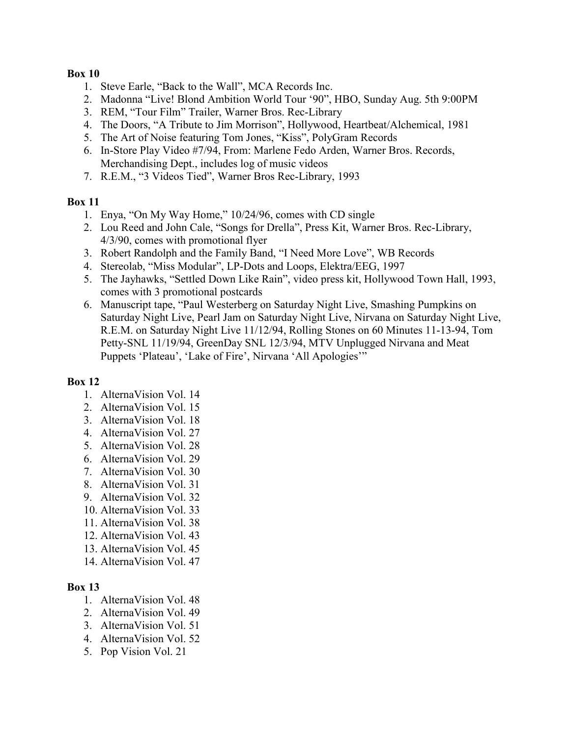- 1. Steve Earle, "Back to the Wall", MCA Records Inc.
- 2. Madonna "Live! Blond Ambition World Tour '90", HBO, Sunday Aug. 5th 9:00PM
- 3. REM, "Tour Film" Trailer, Warner Bros. Rec-Library
- 4. The Doors, "A Tribute to Jim Morrison", Hollywood, Heartbeat/Alchemical, 1981
- 5. The Art of Noise featuring Tom Jones, "Kiss", PolyGram Records
- 6. In-Store Play Video #7/94, From: Marlene Fedo Arden, Warner Bros. Records, Merchandising Dept., includes log of music videos
- 7. R.E.M., "3 Videos Tied", Warner Bros Rec-Library, 1993

# **Box 11**

- 1. Enya, "On My Way Home," 10/24/96, comes with CD single
- 2. Lou Reed and John Cale, "Songs for Drella", Press Kit, Warner Bros. Rec-Library, 4/3/90, comes with promotional flyer
- 3. Robert Randolph and the Family Band, "I Need More Love", WB Records
- 4. Stereolab, "Miss Modular", LP-Dots and Loops, Elektra/EEG, 1997
- 5. The Jayhawks, "Settled Down Like Rain", video press kit, Hollywood Town Hall, 1993, comes with 3 promotional postcards
- 6. Manuscript tape, "Paul Westerberg on Saturday Night Live, Smashing Pumpkins on Saturday Night Live, Pearl Jam on Saturday Night Live, Nirvana on Saturday Night Live, R.E.M. on Saturday Night Live 11/12/94, Rolling Stones on 60 Minutes 11-13-94, Tom Petty-SNL 11/19/94, GreenDay SNL 12/3/94, MTV Unplugged Nirvana and Meat Puppets 'Plateau', 'Lake of Fire', Nirvana 'All Apologies'"

# **Box 12**

- 1. AlternaVision Vol. 14
- 2. AlternaVision Vol. 15
- 3. AlternaVision Vol. 18
- 4. AlternaVision Vol. 27
- 5. AlternaVision Vol. 28
- 6. AlternaVision Vol. 29
- 7. AlternaVision Vol. 30
- 8. AlternaVision Vol. 31
- 9. AlternaVision Vol. 32
- 10. AlternaVision Vol. 33
- 11. AlternaVision Vol. 38
- 12. AlternaVision Vol. 43
- 13. AlternaVision Vol. 45
- 14. AlternaVision Vol. 47

- 1. AlternaVision Vol. 48
- 2. AlternaVision Vol. 49
- 3. AlternaVision Vol. 51
- 4. AlternaVision Vol. 52
- 5. Pop Vision Vol. 21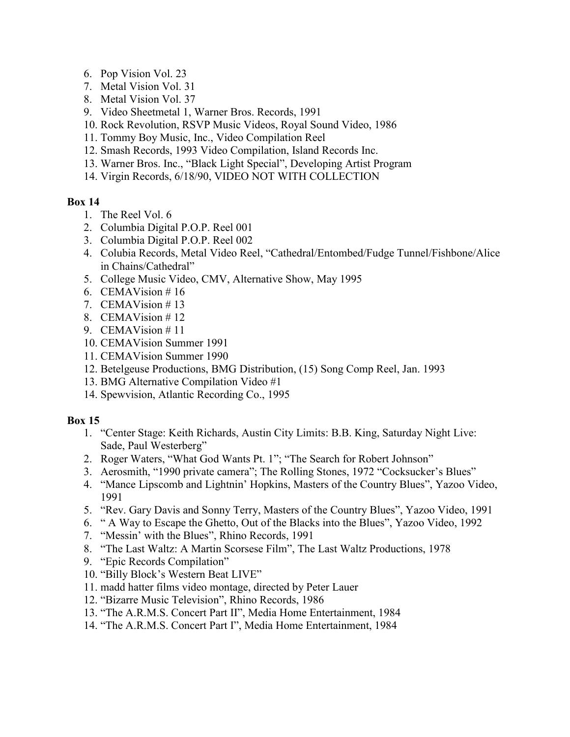- 6. Pop Vision Vol. 23
- 7. Metal Vision Vol. 31
- 8. Metal Vision Vol. 37
- 9. Video Sheetmetal 1, Warner Bros. Records, 1991
- 10. Rock Revolution, RSVP Music Videos, Royal Sound Video, 1986
- 11. Tommy Boy Music, Inc., Video Compilation Reel
- 12. Smash Records, 1993 Video Compilation, Island Records Inc.
- 13. Warner Bros. Inc., "Black Light Special", Developing Artist Program
- 14. Virgin Records, 6/18/90, VIDEO NOT WITH COLLECTION

- 1. The Reel Vol. 6
- 2. Columbia Digital P.O.P. Reel 001
- 3. Columbia Digital P.O.P. Reel 002
- 4. Colubia Records, Metal Video Reel, "Cathedral/Entombed/Fudge Tunnel/Fishbone/Alice in Chains/Cathedral"
- 5. College Music Video, CMV, Alternative Show, May 1995
- 6. CEMAVision # 16
- 7. CEMAVision # 13
- 8. CEMAVision # 12
- 9. CEMAVision # 11
- 10. CEMAVision Summer 1991
- 11. CEMAVision Summer 1990
- 12. Betelgeuse Productions, BMG Distribution, (15) Song Comp Reel, Jan. 1993
- 13. BMG Alternative Compilation Video #1
- 14. Spewvision, Atlantic Recording Co., 1995

- 1. "Center Stage: Keith Richards, Austin City Limits: B.B. King, Saturday Night Live: Sade, Paul Westerberg"
- 2. Roger Waters, "What God Wants Pt. 1"; "The Search for Robert Johnson"
- 3. Aerosmith, "1990 private camera"; The Rolling Stones, 1972 "Cocksucker's Blues"
- 4. "Mance Lipscomb and Lightnin' Hopkins, Masters of the Country Blues", Yazoo Video, 1991
- 5. "Rev. Gary Davis and Sonny Terry, Masters of the Country Blues", Yazoo Video, 1991
- 6. " A Way to Escape the Ghetto, Out of the Blacks into the Blues", Yazoo Video, 1992
- 7. "Messin' with the Blues", Rhino Records, 1991
- 8. "The Last Waltz: A Martin Scorsese Film", The Last Waltz Productions, 1978
- 9. "Epic Records Compilation"
- 10. "Billy Block's Western Beat LIVE"
- 11. madd hatter films video montage, directed by Peter Lauer
- 12. "Bizarre Music Television", Rhino Records, 1986
- 13. "The A.R.M.S. Concert Part II", Media Home Entertainment, 1984
- 14. "The A.R.M.S. Concert Part I", Media Home Entertainment, 1984